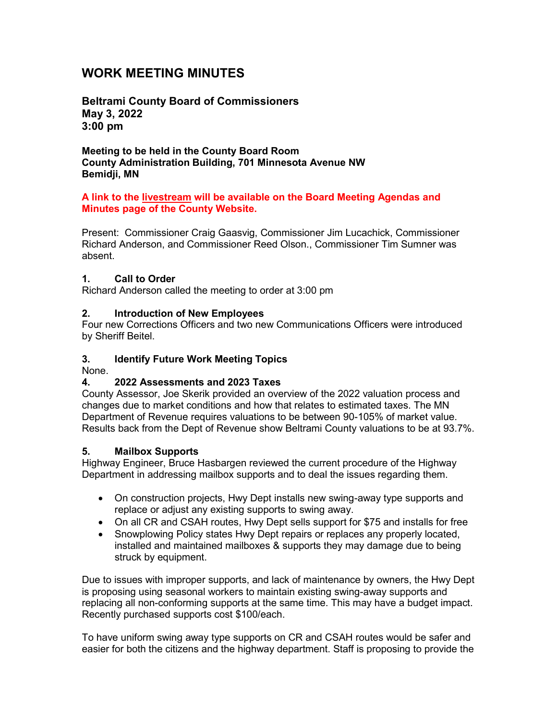# **WORK MEETING MINUTES**

**Beltrami County Board of Commissioners May 3, 2022 3:00 pm**

**Meeting to be held in the County Board Room County Administration Building, 701 Minnesota Avenue NW Bemidji, MN**

#### **A link to the livestream will be available on the Board Meeting Agendas and Minutes page of the County Website.**

Present: Commissioner Craig Gaasvig, Commissioner Jim Lucachick, Commissioner Richard Anderson, and Commissioner Reed Olson., Commissioner Tim Sumner was absent.

#### **1. Call to Order**

Richard Anderson called the meeting to order at 3:00 pm

#### **2. Introduction of New Employees**

Four new Corrections Officers and two new Communications Officers were introduced by Sheriff Beitel.

#### **3. Identify Future Work Meeting Topics**

None.

#### **4. 2022 Assessments and 2023 Taxes**

County Assessor, Joe Skerik provided an overview of the 2022 valuation process and changes due to market conditions and how that relates to estimated taxes. The MN Department of Revenue requires valuations to be between 90-105% of market value. Results back from the Dept of Revenue show Beltrami County valuations to be at 93.7%.

#### **5. Mailbox Supports**

Highway Engineer, Bruce Hasbargen reviewed the current procedure of the Highway Department in addressing mailbox supports and to deal the issues regarding them.

- On construction projects, Hwy Dept installs new swing-away type supports and replace or adjust any existing supports to swing away.
- On all CR and CSAH routes, Hwy Dept sells support for \$75 and installs for free
- Snowplowing Policy states Hwy Dept repairs or replaces any properly located, installed and maintained mailboxes & supports they may damage due to being struck by equipment.

Due to issues with improper supports, and lack of maintenance by owners, the Hwy Dept is proposing using seasonal workers to maintain existing swing-away supports and replacing all non-conforming supports at the same time. This may have a budget impact. Recently purchased supports cost \$100/each.

To have uniform swing away type supports on CR and CSAH routes would be safer and easier for both the citizens and the highway department. Staff is proposing to provide the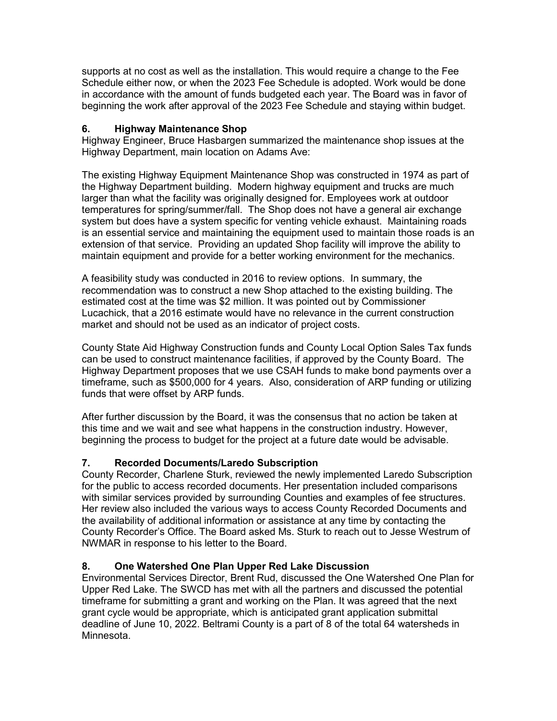supports at no cost as well as the installation. This would require a change to the Fee Schedule either now, or when the 2023 Fee Schedule is adopted. Work would be done in accordance with the amount of funds budgeted each year. The Board was in favor of beginning the work after approval of the 2023 Fee Schedule and staying within budget.

### **6. Highway Maintenance Shop**

Highway Engineer, Bruce Hasbargen summarized the maintenance shop issues at the Highway Department, main location on Adams Ave:

The existing Highway Equipment Maintenance Shop was constructed in 1974 as part of the Highway Department building. Modern highway equipment and trucks are much larger than what the facility was originally designed for. Employees work at outdoor temperatures for spring/summer/fall. The Shop does not have a general air exchange system but does have a system specific for venting vehicle exhaust. Maintaining roads is an essential service and maintaining the equipment used to maintain those roads is an extension of that service. Providing an updated Shop facility will improve the ability to maintain equipment and provide for a better working environment for the mechanics.

A feasibility study was conducted in 2016 to review options. In summary, the recommendation was to construct a new Shop attached to the existing building. The estimated cost at the time was \$2 million. It was pointed out by Commissioner Lucachick, that a 2016 estimate would have no relevance in the current construction market and should not be used as an indicator of project costs.

County State Aid Highway Construction funds and County Local Option Sales Tax funds can be used to construct maintenance facilities, if approved by the County Board. The Highway Department proposes that we use CSAH funds to make bond payments over a timeframe, such as \$500,000 for 4 years. Also, consideration of ARP funding or utilizing funds that were offset by ARP funds.

After further discussion by the Board, it was the consensus that no action be taken at this time and we wait and see what happens in the construction industry. However, beginning the process to budget for the project at a future date would be advisable.

### **7. Recorded Documents/Laredo Subscription**

County Recorder, Charlene Sturk, reviewed the newly implemented Laredo Subscription for the public to access recorded documents. Her presentation included comparisons with similar services provided by surrounding Counties and examples of fee structures. Her review also included the various ways to access County Recorded Documents and the availability of additional information or assistance at any time by contacting the County Recorder's Office. The Board asked Ms. Sturk to reach out to Jesse Westrum of NWMAR in response to his letter to the Board.

### **8. One Watershed One Plan Upper Red Lake Discussion**

Environmental Services Director, Brent Rud, discussed the One Watershed One Plan for Upper Red Lake. The SWCD has met with all the partners and discussed the potential timeframe for submitting a grant and working on the Plan. It was agreed that the next grant cycle would be appropriate, which is anticipated grant application submittal deadline of June 10, 2022. Beltrami County is a part of 8 of the total 64 watersheds in Minnesota.